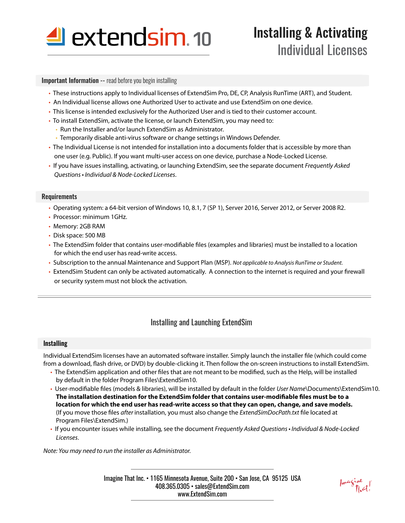

# Installing & Activating Individual Licenses

### **Important Information --** read before you begin installing

- These instructions apply to Individual licenses of ExtendSim Pro, DE, CP, Analysis RunTime (ART), and Student.
- An Individual license allows one Authorized User to activate and use ExtendSim on one device.
- This license is intended exclusively for the Authorized User and is tied to their customer account.
- To install ExtendSim, activate the license, or launch ExtendSim, you may need to:
	- Run the Installer and/or launch ExtendSim as Administrator.
- Temporarily disable anti-virus software or change settings in Windows Defender.
- The Individual License is not intended for installation into a documents folder that is accessible by more than one user (e.g. Public). If you want multi-user access on one device, purchase a Node-Locked License.
- If you have issues installing, activating, or launching ExtendSim, see the separate document *Frequently Asked*  Questions • Individual & Node-Locked Licenses.

#### Requirements

- Operating system: a 64-bit version of Windows 10, 8.1, 7 (SP 1), Server 2016, Server 2012, or Server 2008 R2.
- Processor: minimum 1GHz.
- Memory: 2GB RAM
- Disk space: 500 MB
- The ExtendSim folder that contains user-modifiable files (examples and libraries) must be installed to a location for which the end user has read-write access.
- Subscription to the annual Maintenance and Support Plan (MSP). *Not applicable to Analysis RunTime or Student.*
- ExtendSim Student can only be activated automatically. A connection to the internet is required and your firewall or security system must not block the activation.

## Installing and Launching ExtendSim

### **Installing**

Individual ExtendSim licenses have an automated software installer. Simply launch the installer file (which could come from a download, flash drive, or DVD) by double-clicking it. Then follow the on-screen instructions to install ExtendSim.

- The ExtendSim application and other files that are not meant to be modified, such as the Help, will be installed by default in the folder Program Files\ExtendSim10.
- User-modifiable files (models & libraries), will be installed by default in the folder *User Name*\Documents\ExtendSim10. The installation destination for the ExtendSim folder that contains user-modifiable files must be to a **location for which the end user has read-write access so that they can open, change, and save models.** (If you move those files *after* installation, you must also change the *ExtendSimDocPath.txt* file located at Program Files\ExtendSim.)
- If you encounter issues while installing, see the document Frequently Asked Questions Individual & Node-Locked Licenses.

*Note: You may need to run the installer as Administrator.*

Imagine That Inc. • 1165 Minnesota Avenue, Suite 200 • San Jose, CA 95125 USA 408.365.0305 • sales@ExtendSim.com www.ExtendSim.com

Imagine<br>That